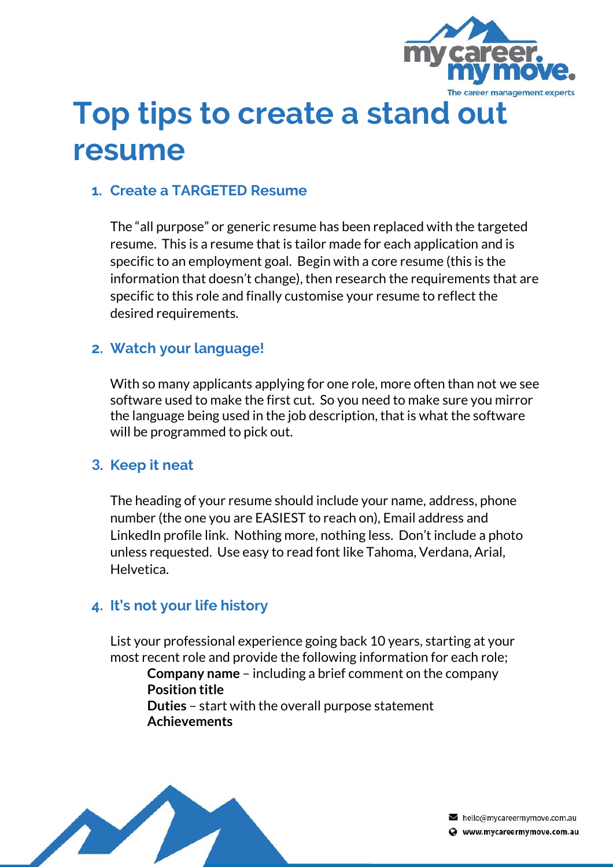

# **Top tips to create a stand out resume**

# **1. Create a TARGETED Resume**

The "all purpose" or generic resume has been replaced with the targeted resume. This is a resume that is tailor made for each application and is specific to an employment goal. Begin with a core resume (this is the information that doesn't change), then research the requirements that are specific to this role and finally customise your resume to reflect the desired requirements.

## **2. Watch your language!**

With so many applicants applying for one role, more often than not we see software used to make the first cut. So you need to make sure you mirror the language being used in the job description, that is what the software will be programmed to pick out.

### **3. Keep it neat**

The heading of your resume should include your name, address, phone number (the one you are EASIEST to reach on), Email address and LinkedIn profile link. Nothing more, nothing less. Don't include a photo unless requested. Use easy to read font like Tahoma, Verdana, Arial, Helvetica.

# **4. It's not your life history**

List your professional experience going back 10 years, starting at your most recent role and provide the following information for each role; **Company name** – including a brief comment on the company **Position title Duties** – start with the overall purpose statement **Achievements**



hello@mycareermymove.com.au Www.mycareermymove.com.au